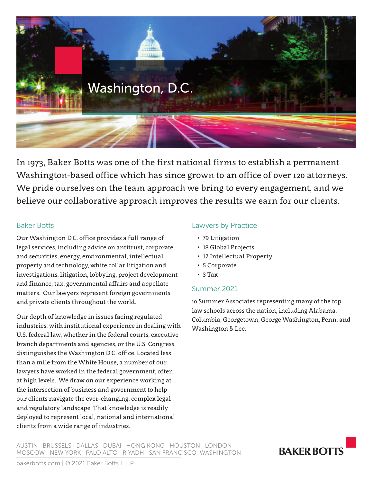

In 1973, Baker Botts was one of the first national firms to establish a permanent Washington-based office which has since grown to an office of over 120 attorneys. We pride ourselves on the team approach we bring to every engagement, and we believe our collaborative approach improves the results we earn for our clients.

#### Baker Botts

Our Washington D.C. office provides a full range of legal services, including advice on antitrust, corporate and securities, energy, environmental, intellectual property and technology, white collar litigation and investigations, litigation, lobbying, project development and finance, tax, governmental affairs and appellate matters. Our lawyers represent foreign governments and private clients throughout the world.

Our depth of knowledge in issues facing regulated industries, with institutional experience in dealing with U.S. federal law, whether in the federal courts, executive branch departments and agencies, or the U.S. Congress, distinguishes the Washington D.C. office. Located less than a mile from the White House, a number of our lawyers have worked in the federal government, often at high levels. We draw on our experience working at the intersection of business and government to help our clients navigate the ever-changing, complex legal and regulatory landscape. That knowledge is readily deployed to represent local, national and international clients from a wide range of industries.

## Lawyers by Practice

- 79 Litigation
- 18 Global Projects
- 12 Intellectual Property
- 5 Corporate
- 3 Tax

#### Summer 2021

10 Summer Associates representing many of the top law schools across the nation, including Alabama, Columbia, Georgetown, George Washington, Penn, and Washington & Lee.

AUSTIN BRUSSELS DALLAS DUBAI HONG KONG HOUSTON LONDON MOSCOW NEW YORK PALO ALTO RIYADH SAN FRANCISCO WASHINGTON